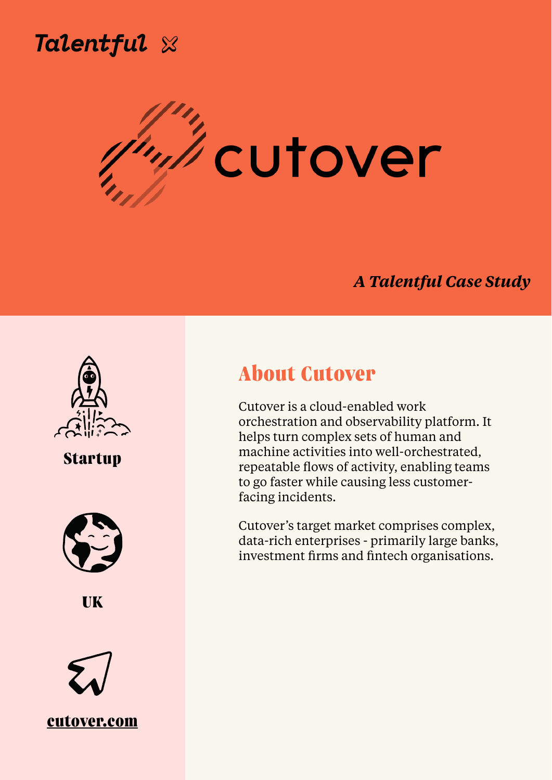

# *i*cutover **Chris Wilkinson, Director of People**

### *A Talentful Case Study*



**About Cutover** 

Cutover is a cloud-enabled work orchestration and observability platform. It helps turn complex sets of human and machine activities into well-orchestrated, repeatable flows of activity, enabling teams to go faster while causing less customerfacing incidents.

Cutover's target market comprises complex, data-rich enterprises - primarily large banks, investment firms and fintech organisations.

## **Startup**





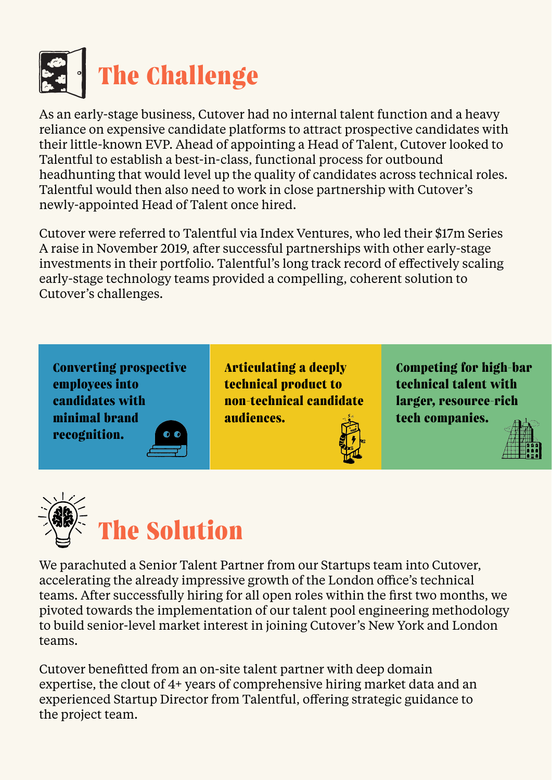

As an early-stage business, Cutover had no internal talent function and a heavy reliance on expensive candidate platforms to attract prospective candidates with their little-known EVP. Ahead of appointing a Head of Talent, Cutover looked to Talentful to establish a best-in-class, functional process for outbound headhunting that would level up the quality of candidates across technical roles. Talentful would then also need to work in close partnership with Cutover's

#### newly-appointed Head of Talent once hired.

Cutover were referred to Talentful via Index Ventures, who led their \$17m Series A raise in November 2019, after successful partnerships with other early-stage investments in their portfolio. Talentful's long track record of effectively scaling early-stage technology teams provided a compelling, coherent solution to Cutover's challenges.



We parachuted a Senior Talent Partner from our Startups team into Cutover, accelerating the already impressive growth of the London office's technical teams. After successfully hiring for all open roles within the first two months, we pivoted towards the implementation of our talent pool engineering methodology to build senior-level market interest in joining Cutover's New York and London teams.

Cutover benefitted from an on-site talent partner with deep domain expertise, the clout of 4+ years of comprehensive hiring market data and an experienced Startup Director from Talentful, offering strategic guidance to the project team.

**Converting prospective employees into** 



**Articulating a deeply technical product to** 

**Competing for high-bar technical talent with**